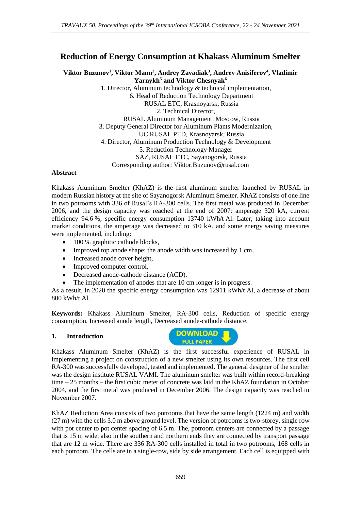# **Reduction of Energy Consumption at Khakass Aluminum Smelter**

**Viktor Buzunov<sup>1</sup> , Viktor Mann<sup>2</sup> , Andrey Zavadiak<sup>3</sup> , Andrey Anisiferov<sup>4</sup> , Vladimir Yarnykh<sup>5</sup> and Viktor Chesnyak<sup>6</sup>**

1. Director, Aluminum technology & technical implementation, 6. Head of Reduction Technology Department RUSAL ETC, Krasnoyarsk, Russia 2. Technical Director, RUSAL Aluminum Management, Moscow, Russia 3. Deputy General Director for Aluminum Plants Modernization, UC RUSAL PTD, Krasnoyarsk, Russia 4. Director, Aluminum Production Technology & Development 5. Reduction Technology Manager SAZ, RUSAL ETC, Sayanogorsk, Russia Corresponding author: Viktor.Buzunov@rusal.com

#### **Abstract**

Khakass Aluminum Smelter (KhAZ) is the first aluminum smelter launched by RUSAL in modern Russian history at the site of Sayanogorsk Aluminum Smelter. KhAZ consists of one line in two potrooms with 336 of Rusal's RA-300 cells. The first metal was produced in December 2006, and the design capacity was reached at the end of 2007: amperage 320 kA, current efficiency 94.6 %, specific energy consumption 13740 kWh/t Al. Later, taking into account market conditions, the amperage was decreased to 310 kA, and some energy saving measures were implemented, including:

- 100 % graphitic cathode blocks,
- Improved top anode shape; the anode width was increased by 1 cm,
- Increased anode cover height,
- Improved computer control,
- Decreased anode-cathode distance (ACD).
- The implementation of anodes that are 10 cm longer is in progress.

As a result, in 2020 the specific energy consumption was 12911 kWh/t Al, a decrease of about 800 kWh/t Al.

**Keywords:** Khakass Aluminum Smelter, RA-300 cells, Reduction of specific energy consumption, Increased anode length, Decreased anode-cathode distance.

#### **1. Introduction**



Khakass Aluminum Smelter (KhAZ) is the first successful experience of RUSAL in implementing a project on construction of a new smelter using its own resources. The first cell RA-300 was successfully developed, tested and implemented. The general designer of the smelter was the design institute RUSAL VAMI. The aluminum smelter was built within record-breaking time – 25 months – the first cubic meter of concrete was laid in the KhAZ foundation in October 2004, and the first metal was produced in December 2006. The design capacity was reached in November 2007.

KhAZ Reduction Area consists of two potrooms that have the same length (1224 m) and width (27 m) with the cells 3.0 m above ground level. The version of potrooms is two-storey, single row with pot center to pot center spacing of 6.5 m. The, potroom centers are connected by a passage that is 15 m wide, also in the southern and northern ends they are connected by transport passage that are 12 m wide. There are 336 RA-300 cells installed in total in two potrooms, 168 cells in each potroom. The cells are in a single-row, side by side arrangement. Each cell is equipped with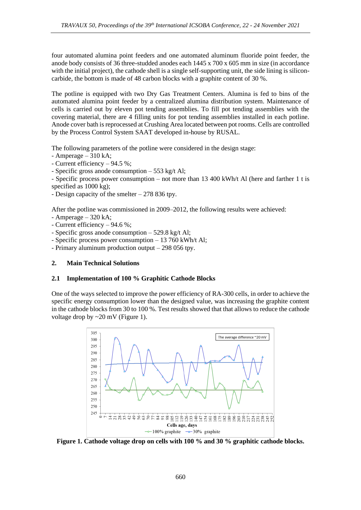four automated alumina point feeders and one automated aluminum fluoride point feeder, the anode body consists of 36 three-studded anodes each 1445 x 700 x 605 mm in size (in accordance with the initial project), the cathode shell is a single self-supporting unit, the side lining is siliconcarbide, the bottom is made of 48 carbon blocks with a graphite content of 30 %.

The potline is equipped with two Dry Gas Treatment Centers. Alumina is fed to bins of the automated alumina point feeder by a centralized alumina distribution system. Maintenance of cells is carried out by eleven pot tending assemblies. To fill pot tending assemblies with the covering material, there are 4 filling units for pot tending assemblies installed in each potline. Anode cover bath is reprocessed at Crushing Area located between pot rooms. Cells are controlled by the Process Control System SAAT developed in-house by RUSAL.

The following parameters of the potline were considered in the design stage:

- Amperage 310 kA;
- Current efficiency 94.5 %;

- Specific gross anode consumption – 553 kg/t Al;

- Specific process power consumption – not more than 13 400 kWh/t Al (here and farther 1 t is specified as 1000 kg);

- Design capacity of the smelter – 278 836 tpy.

After the potline was commissioned in 2009–2012, the following results were achieved:

- Amperage 320 kA;
- Current efficiency 94.6 %;
- Specific gross anode consumption 529.8 kg/t Al;
- Specific process power consumption 13 760 kWh/t Al;
- Primary aluminum production output 298 056 tpy.

## **2. Main Technical Solutions**

## **2.1 Implementation of 100 % Graphitic Cathode Blocks**

One of the ways selected to improve the power efficiency of RA-300 cells, in order to achieve the specific energy consumption lower than the designed value, was increasing the graphite content in the cathode blocks from 30 to 100 %. Test results showed that that allows to reduce the cathode voltage drop by ~20 mV (Figure 1).



**Figure 1. Cathode voltage drop on cells with 100 % and 30 % graphitic cathode blocks.**